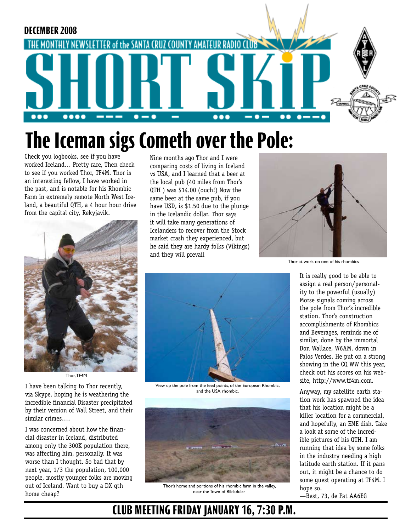

# **The Iceman sigs Cometh over the Pole:**

Check you logbooks, see if you have worked Iceland… Pretty rare, Then check to see if you worked Thor, TF4M. Thor is an interesting fellow, I have worked in the past, and is notable for his Rhombic Farm in extremely remote North West Iceland, a beautiful QTH, a 4 hour hour drive from the capital city, Rekyjavik.



Thor, TF4M

I have been talking to Thor recently, via Skype, hoping he is weathering the incredible financial Disaster precipitated by their version of Wall Street, and their similar crimes….

I was concerned about how the financial disaster in Iceland, distributed among only the 300K population there, was affecting him, personally. It was worse than I thought. So bad that by next year, 1/3 the population, 100,000 people, mostly younger folks are moving out of Iceland. Want to buy a DX qth home cheap?

Nine months ago Thor and I were comparing costs of living in Iceland vs USA, and I learned that a beer at the local pub (40 miles from Thor's QTH ) was \$14.00 (ouch!) Now the same beer at the same pub, if you have USD, is \$1.50 due to the plunge in the Icelandic dollar. Thor says it will take many generations of Icelanders to recover from the Stock market crash they experienced, but he said they are hardy folks (Vikings) and they will prevail



View up the pole from the feed points, of the European Rhombic, and the USA rhombic.



Thor's home and portions of his rhombic farm in the valley, near the Town of Bildadular



Thor at work on one of his rhombics

It is really good to be able to assign a real person/personality to the powerful (usually) Morse signals coming across the pole from Thor's incredible station. Thor's construction accomplishments of Rhombics and Beverages, reminds me of similar, done by the immortal Don Wallace, W6AM, down in Palos Verdes. He put on a strong showing in the CQ WW this year, check out his scores on his website, http://www.tf4m.com.

Anyway, my satellite earth station work has spawned the idea that his location might be a killer location for a commercial, and hopefully, an EME dish. Take a look at some of the incredible pictures of his QTH. I am running that idea by some folks in the industry needing a high latitude earth station. If it pans out, it might be a chance to do some guest operating at TF4M. I hope so.

—Best, 73, de Pat AA6EG

## **CLUB MEETING FRIDAY JANUARY 16, 7:30 P.M.**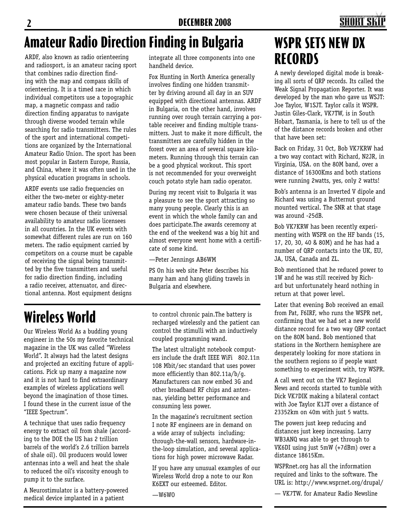## **SHORT S**

# **Amateur Radio Direction Finding in Bulgaria WSPR SETS NEW DX**

ARDF, also known as radio orienteering and radiosport, is an amateur racing sport that combines radio direction finding with the map and compass skills of orienteering. It is a timed race in which individual competitors use a topographic map, a magnetic compass and radio direction finding apparatus to navigate through diverse wooded terrain while searching for radio transmitters. The rules of the sport and international competitions are organized by the International Amateur Radio Union. The sport has been most popular in Eastern Europe, Russia, and China, where it was often used in the physical education programs in schools.

ARDF events use radio frequencies on either the two-meter or eighty-meter amateur radio bands. These two bands were chosen because of their universal availability to amateur radio licensees in all countries. In the UK events with somewhat different rules are run on 160 meters. The radio equipment carried by competitors on a course must be capable of receiving the signal being transmitted by the five transmitters and useful for radio direction finding, including a radio receiver, attenuator, and directional antenna. Most equipment designs integrate all three components into one handheld device.

Fox Hunting in North America generally involves finding one hidden transmitter by driving around all day in an SUV equipped with directional antennas. ARDF in Bulgaria, on the other hand, involves running over rough terrain carrying a portable receiver and finding multiple transmitters. Just to make it more difficult, the transmitters are carefully hidden in the forest over an area of several square kilometers. Running through this terrain can be a good physical workout. This sport is not recommended for your overweight couch potato style ham radio operator.

During my recent visit to Bulgaria it was a pleasure to see the sport attracting so many young people. Clearly this is an event in which the whole family can and does participate.The awards ceremony at the end of the weekend was a big hit and almost everyone went home with a certificate of some kind.

—Peter Jennings AB6WM

PS On his web site Peter describes his many ham and hang gliding travels in Bulgaria and elsewhere.

# **Wireless World**

Our Wireless World As a budding young engineer in the 50s my favorite technical magazine in the UK was called "Wireless World". It always had the latest designs and projected an exciting future of applications. Pick up many a magazine now and it is not hard to find extraordinary examples of wireless applications well beyond the imagination of those times. I found these in the current issue of the "IEEE Spectrum".

A technique that uses radio frequency energy to extract oil from shale (according to the DOE the US has 2 trillion barrels of the world's 2.6 trillion barrels of shale oil). Oil producers would lower antennas into a well and heat the shale to reduced the oil's viscosity enough to pump it to the surface.

A Neurostimulator is a battery-powered medical device implanted in a patient

to control chronic pain.The battery is recharged wirelessly and the patient can control the stimulli with an inductively coupled programming wand.

The latest ultralight notebook computers include the draft IEEE WiFi 802.11n 108 Mbit/sec standard that uses power more efficiently than 802.11a/b/g. Manufacturers can now embed 3G and other broadband RF chips and antennas, yielding better performance and consuming less power.

In the magazine's recruitment section I note RF engineers are in demand on a wide array of subjects including; through-the-wall sensors, hardware-inthe-loop simulation, and several applications for high power microwave Radar.

If you have any unusual examples of our Wireless World drop a note to our Ron K6EXT our esteemed. Editor.

—W6WO

# **RECORDS**

A newly developed digital mode is breaking all sorts of QRP records. Its called the Weak Signal Propagation Reporter. It was developed by the man who gave us WSJT: Joe Taylor, W1SJT. Taylor calls it WSPR. Justin Giles-Clark, VK7TW, is in South Hobart, Tasmania, is here to tell us of the of the distance records broken and other that have been set:

Back on Friday, 31 Oct, Bob VK7KRW had a two way contact with Richard, N2JR, in Virginia, USA. on the 80M band, over a distance of 16300Kms and both stations were running 2watts, yes, only 2 watts!

Bob's antenna is an Inverted V dipole and Richard was using a Butternut ground mounted vertical. The SNR at that stage was around -25dB.

Bob VK7KRW has been recently experimenting with WSPR on the HF bands (15, 17, 20, 30, 40 & 80M) and he has had a number of QRP contacts into the UK, EU, JA, USA, Canada and ZL.

Bob mentioned that he reduced power to 1W and he was still received by Richard but unfortunately heard nothing in return at that power level.

Later that evening Bob received an email from Pat, F6IRF, who runs the WSPR net, confirming that we had set a new world distance record for a two way QRP contact on the 80M band. Bob mentioned that stations in the Northern hemisphere are desperately looking for more stations in the southern regions so if people want something to experiment with, try WSPR.

A call went out on the VK7 Regional News and records started to tumble with Dick VK7DIK making a bilateral contact with Joe Taylor K1JT over a distance of 23352km on 40m with just 5 watts.

The powers just keep reducing and distances just keep increasing. Larry WB3ANQ was able to get through to VK6DI using just 5mW (+7dBm) over a distance 18615Km.

WSPRnet.org has all the information required and links to the software. The URL is: http://www.wsprnet.org/drupal/

— VK7TW. for Amateur Radio Newsline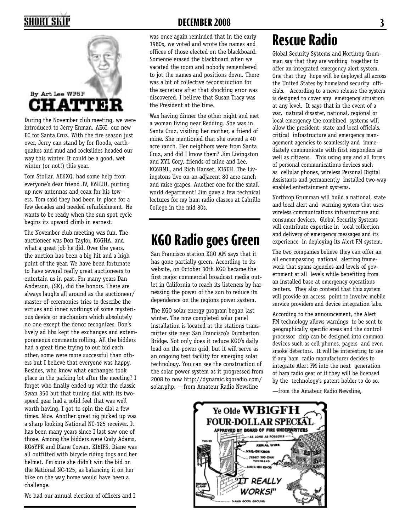## SHORT SKII



During the November club meeting, we were introduced to Jerry Enman, AE6I, our new EC for Santa Cruz. With the fire season just over, Jerry can stand by for floods, earthquakes and mud and rockslides headed our way this winter. It could be a good, wet winter (or not!) this year.

Tom Stollar, AE6XQ, had some help from everyone's dear friend JV, K6HJU, putting up new antennas and coax for his towers. Tom said they had been in place for a few decades and needed refurbishment. He wants to be ready when the sun spot cycle begins its upward climb in earnest.

The November club meeting was fun. The auctioneer was Don Taylor, K6GHA, and what a great job he did. Over the years, the auction has been a big hit and a high point of the year. We have been fortunate to have several really great auctioneers to entertain us in past. For many years Dan Anderson, (SK), did the honors. There are always laughs all around as the auctioneer/ master-of-ceremonies tries to describe the virtues and inner workings of some mysterious device or mechanism which absolutely no one except the donor recognizes. Don's lively ad libs kept the exchanges and extemporaneous comments rolling. All the bidders had a great time trying to out bid each other, some were more successful than others but I believe that everyone was happy. Besides, who know what exchanges took place in the parking lot after the meeting? I forget who finally ended up with the classic Swan 350 but that tuning dial with its twospeed gear had a solid feel that was well worth having. I got to spin the dial a few times. Nice. Another great rig picked up was a sharp looking National NC-125 receiver. It has been many years since I last saw one of those. Among the bidders were Cody Adams, KG6YPK and Diane Cowan, KI6IFS. Diane was all outfitted with bicycle riding togs and her helmet. I'm sure she didn't win the bid on the National NC-125, as balancing it on her bike on the way home would have been a challenge.

We had our annual election of officers and I

#### **DECEMBER 2008 3**

was once again reminded that in the early 1980s, we voted and wrote the names and offices of those elected on the blackboard. Someone erased the blackboard when we vacated the room and nobody remembered to jot the names and positions down. There was a bit of collective reconstruction for the secretary after that shocking error was discovered. I believe that Susan Tracy was the President at the time.

Was having dinner the other night and met a woman living near Redding. She was in Santa Cruz, visiting her mother, a friend of mine. She mentioned that she owned a 40 acre ranch. Her neighbors were from Santa Cruz, and did I know them? Jim Livingston and XYL Cory, friends of mine and Lee, KC6BML, and Rich Hanset, KI6EH. The Livingstons live on an adjacent 80 acre ranch and raise grapes. Another one for the small world department! Jim gave a few technical lectures for my ham radio classes at Cabrillo College in the mid 80s.

## **KGO Radio goes Green**

San Francisco station KGO AM says that it has gone partially green. According to its website, on October 30th KGO became the first major commercial broadcast media outlet in California to reach its listeners by harnessing the power of the sun to reduce its dependence on the regions power system.

The KGO solar energy program began last winter. The now completed solar panel installation is located at the stations transmitter site near San Francisco's Dumbarton Bridge. Not only does it reduce KGO's daily load on the power grid, but it will serve as an ongoing test facility for emerging solar technology. You can see the construction of the solar power system as it progressed from 2008 to now http://dynamic.kgoradio.com/ solar.php. —from Amateur Radio Newsline

## **Rescue Radio**

Global Security Systems and Northrop Grumman say that they are working together to offer an integrated emergency alert system. One that they hope will be deployed all across the United States by homeland security officials. According to a news release the system is designed to cover any emergency situation at any level. It says that in the event of a war, natural disaster, national, regional or local emergency the combined systems will allow the president, state and local officials, critical infrastructure and emergency management agencies to seamlessly and immediately communicate with first responders as well as citizens. This using any and all forms of personal communications devices such as cellular phones, wireless Personal Digital Assistants and permanently installed two-way enabled entertainment systems.

Northrop Grumman will build a national, state and local alert and warning system that uses wireless communications infrastructure and consumer devices. Global Security Systems will contribute expertise in local collection and delivery of emergency messages and its experience in deploying its Alert FM system.

The two companies believe they can offer an all encompassing national alerting framework that spans agencies and levels of government at all levels while benefiting from an installed base at emergency operations centers. They also contend that this system will provide an access point to involve mobile service providers and device integration labs.

According to the announcement, the Alert FM technology allows warnings to be sent to geographically specific areas and the control processor chip can be designed into common devices such as cell phones, pagers and even smoke detectors. It will be interesting to see if any ham radio manufacturer decides to integrate Alert FM into the next generation of ham radio gear or if they will be licensed by the technology's patent holder to do so.

—from the Amateur Radio Newsline,